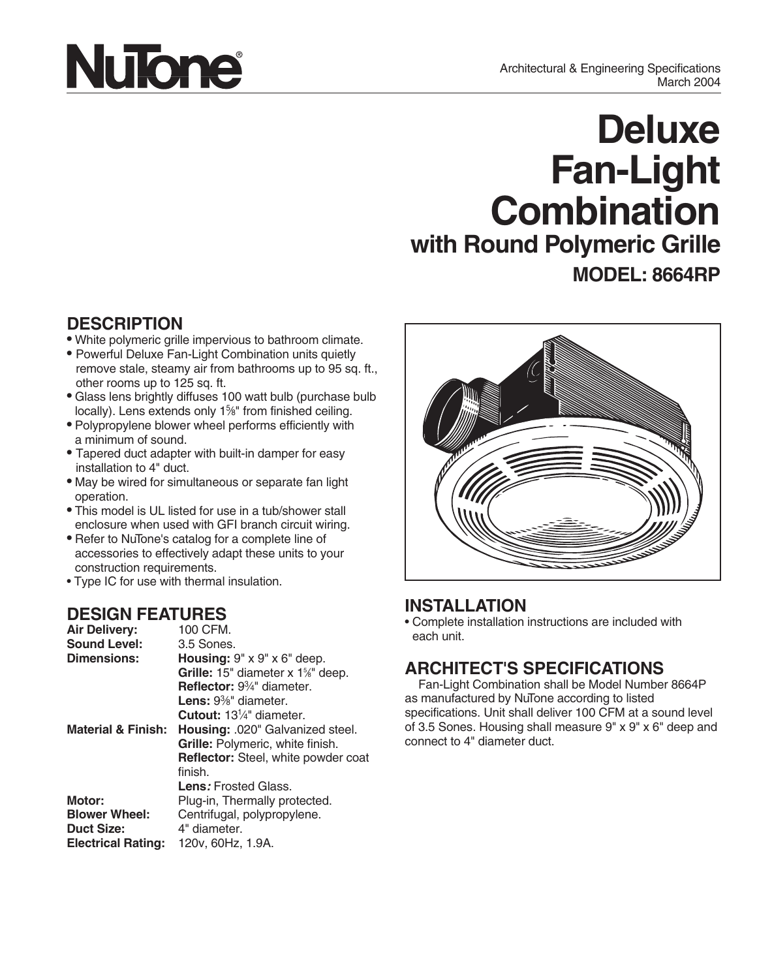# **NuTone**

## **Deluxe Fan-Light Combination with Round Polymeric Grille MODEL: 8664RP**

#### **DESCRIPTION**

- White polymeric grille impervious to bathroom climate.
- Powerful Deluxe Fan-Light Combination units quietly remove stale, steamy air from bathrooms up to 95 sq. ft., other rooms up to 125 sq. ft.
- Glass lens brightly diffuses 100 watt bulb (purchase bulb locally). Lens extends only 1<sup>5</sup>%" from finished ceiling.
- Polypropylene blower wheel performs efficiently with a minimum of sound.
- Tapered duct adapter with built-in damper for easy installation to 4" duct.
- May be wired for simultaneous or separate fan light operation.
- This model is UL listed for use in a tub/shower stall enclosure when used with GFI branch circuit wiring.
- Refer to NuTone's catalog for a complete line of accessories to effectively adapt these units to your construction requirements.
- Type IC for use with thermal insulation.

#### **DESIGN FEATURES**

| <b>Air Delivery:</b>          | 100 CFM.                                                  |
|-------------------------------|-----------------------------------------------------------|
| <b>Sound Level:</b>           | 3.5 Sones.                                                |
| Dimensions:                   | <b>Housing:</b> $9'' \times 9'' \times 6''$ deep.         |
|                               | <b>Grille:</b> 15" diameter x 1 <sup>%"</sup> deep.       |
|                               | <b>Reflector:</b> $9\frac{3}{4}$ " diameter.              |
|                               | <b>Lens:</b> $9\%$ " diameter.                            |
|                               | <b>Cutout:</b> 13 <sup>1</sup> / <sub>4</sub> " diameter. |
| <b>Material &amp; Finish:</b> | Housing: .020" Galvanized steel.                          |
|                               | Grille: Polymeric, white finish.                          |
|                               | <b>Reflector:</b> Steel, white powder coat                |
|                               | finish.                                                   |
|                               | <b>Lens:</b> Frosted Glass.                               |
| Motor:                        | Plug-in, Thermally protected.                             |
| <b>Blower Wheel:</b>          | Centrifugal, polypropylene.                               |
| <b>Duct Size:</b>             | 4" diameter.                                              |
| <b>Electrical Rating:</b>     | 120v, 60Hz, 1.9A.                                         |



#### **INSTALLATION**

• Complete installation instructions are included with each unit.

### **ARCHITECT'S SPECIFICATIONS**

Fan-Light Combination shall be Model Number 8664P as manufactured by NuTone according to listed specifications. Unit shall deliver 100 CFM at a sound level of 3.5 Sones. Housing shall measure 9" x 9" x 6" deep and connect to 4" diameter duct.